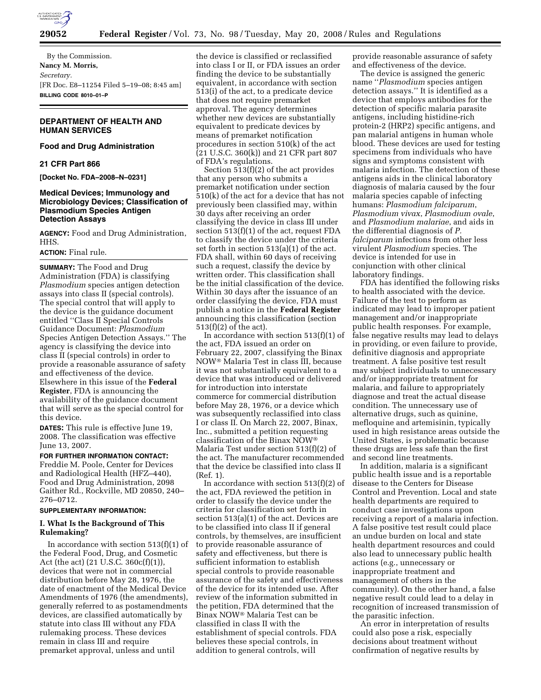

By the Commission. **Nancy M. Morris,**  *Secretary.*  [FR Doc. E8–11254 Filed 5–19–08; 8:45 am] **BILLING CODE 8010–01–P** 

# **DEPARTMENT OF HEALTH AND HUMAN SERVICES**

### **Food and Drug Administration**

### **21 CFR Part 866**

**[Docket No. FDA–2008–N–0231]** 

# **Medical Devices; Immunology and Microbiology Devices; Classification of Plasmodium Species Antigen Detection Assays**

**AGENCY:** Food and Drug Administration, HHS.

# **ACTION:** Final rule.

**SUMMARY:** The Food and Drug Administration (FDA) is classifying *Plasmodium* species antigen detection assays into class II (special controls). The special control that will apply to the device is the guidance document entitled ''Class II Special Controls Guidance Document: *Plasmodium*  Species Antigen Detection Assays.'' The agency is classifying the device into class II (special controls) in order to provide a reasonable assurance of safety and effectiveness of the device. Elsewhere in this issue of the **Federal Register**, FDA is announcing the availability of the guidance document that will serve as the special control for this device.

**DATES:** This rule is effective June 19, 2008. The classification was effective June 13, 2007.

**FOR FURTHER INFORMATION CONTACT:**  Freddie M. Poole, Center for Devices and Radiological Health (HFZ–440), Food and Drug Administration, 2098 Gaither Rd., Rockville, MD 20850, 240– 276–0712.

#### **SUPPLEMENTARY INFORMATION:**

# **I. What Is the Background of This Rulemaking?**

In accordance with section  $513(f)(1)$  of the Federal Food, Drug, and Cosmetic Act (the act) (21 U.S.C. 360c(f)(1)), devices that were not in commercial distribution before May 28, 1976, the date of enactment of the Medical Device Amendments of 1976 (the amendments), generally referred to as postamendments devices, are classified automatically by statute into class III without any FDA rulemaking process. These devices remain in class III and require premarket approval, unless and until

the device is classified or reclassified into class I or II, or FDA issues an order finding the device to be substantially equivalent, in accordance with section 513(i) of the act, to a predicate device that does not require premarket approval. The agency determines whether new devices are substantially equivalent to predicate devices by means of premarket notification procedures in section 510(k) of the act (21 U.S.C. 360(k)) and 21 CFR part 807 of FDA's regulations.

Section 513(f)(2) of the act provides that any person who submits a premarket notification under section 510(k) of the act for a device that has not previously been classified may, within 30 days after receiving an order classifying the device in class III under section 513(f)(1) of the act, request FDA to classify the device under the criteria set forth in section 513(a)(1) of the act. FDA shall, within 60 days of receiving such a request, classify the device by written order. This classification shall be the initial classification of the device. Within 30 days after the issuance of an order classifying the device, FDA must publish a notice in the **Federal Register**  announcing this classification (section 513(f)(2) of the act).

In accordance with section  $513(f)(1)$  of the act, FDA issued an order on February 22, 2007, classifying the Binax NOW Malaria Test in class III, because it was not substantially equivalent to a device that was introduced or delivered for introduction into interstate commerce for commercial distribution before May 28, 1976, or a device which was subsequently reclassified into class I or class II. On March 22, 2007, Binax, Inc., submitted a petition requesting classification of the Binax NOW Malaria Test under section 513(f)(2) of the act. The manufacturer recommended that the device be classified into class II (Ref. 1).

In accordance with section 513(f)(2) of the act, FDA reviewed the petition in order to classify the device under the criteria for classification set forth in section 513(a)(1) of the act. Devices are to be classified into class II if general controls, by themselves, are insufficient to provide reasonable assurance of safety and effectiveness, but there is sufficient information to establish special controls to provide reasonable assurance of the safety and effectiveness of the device for its intended use. After review of the information submitted in the petition, FDA determined that the Binax NOW<sup>®</sup> Malaria Test can be classified in class II with the establishment of special controls. FDA believes these special controls, in addition to general controls, will

provide reasonable assurance of safety and effectiveness of the device.

The device is assigned the generic name ''*Plasmodium* species antigen detection assays.'' It is identified as a device that employs antibodies for the detection of specific malaria parasite antigens, including histidine-rich protein-2 (HRP2) specific antigens, and pan malarial antigens in human whole blood. These devices are used for testing specimens from individuals who have signs and symptoms consistent with malaria infection. The detection of these antigens aids in the clinical laboratory diagnosis of malaria caused by the four malaria species capable of infecting humans: *Plasmodium falciparum*, *Plasmodium vivax*, *Plasmodium ovale*, and *Plasmodium malariae*, and aids in the differential diagnosis of *P. falciparum* infections from other less virulent *Plasmodium* species. The device is intended for use in conjunction with other clinical laboratory findings.

FDA has identified the following risks to health associated with the device. Failure of the test to perform as indicated may lead to improper patient management and/or inappropriate public health responses. For example, false negative results may lead to delays in providing, or even failure to provide, definitive diagnosis and appropriate treatment. A false positive test result may subject individuals to unnecessary and/or inappropriate treatment for malaria, and failure to appropriately diagnose and treat the actual disease condition. The unnecessary use of alternative drugs, such as quinine, mefloquine and artemisinin, typically used in high resistance areas outside the United States, is problematic because these drugs are less safe than the first and second line treatments.

In addition, malaria is a significant public health issue and is a reportable disease to the Centers for Disease Control and Prevention. Local and state health departments are required to conduct case investigations upon receiving a report of a malaria infection. A false positive test result could place an undue burden on local and state health department resources and could also lead to unnecessary public health actions (e.g., unnecessary or inappropriate treatment and management of others in the community). On the other hand, a false negative result could lead to a delay in recognition of increased transmission of the parasitic infection.

An error in interpretation of results could also pose a risk, especially decisions about treatment without confirmation of negative results by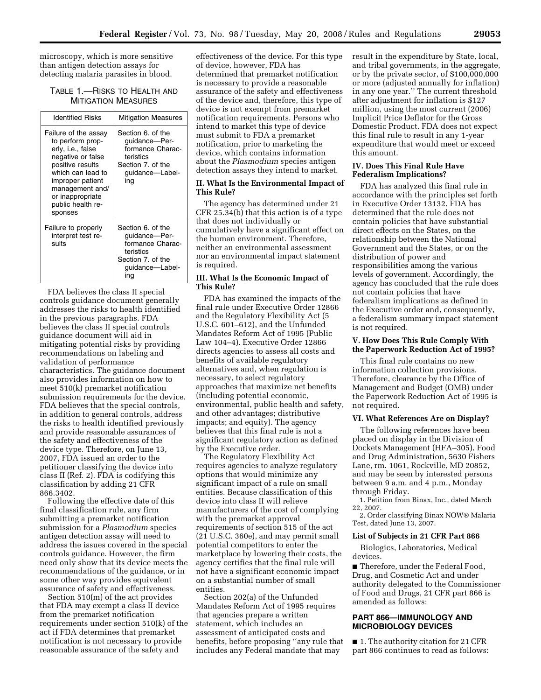microscopy, which is more sensitive than antigen detection assays for detecting malaria parasites in blood.

# TABLE 1.—RISKS TO HEALTH AND MITIGATION MEASURES

| <b>Identified Risks</b>                                                                                                                                                                                                | <b>Mitigation Measures</b>                                                                                         |
|------------------------------------------------------------------------------------------------------------------------------------------------------------------------------------------------------------------------|--------------------------------------------------------------------------------------------------------------------|
| Failure of the assay<br>to perform prop-<br>erly, i.e., false<br>negative or false<br>positive results<br>which can lead to<br>improper patient<br>management and/<br>or inappropriate<br>public health re-<br>sponses | Section 6, of the<br>guidance-Per-<br>formance Charac-<br>teristics<br>Section 7, of the<br>guidance-Label-<br>ing |
| Failure to properly<br>interpret test re-<br>sults                                                                                                                                                                     | Section 6, of the<br>quidance-Per-<br>formance Charac-<br>teristics<br>Section 7, of the<br>quidance—Label-<br>ına |

FDA believes the class II special controls guidance document generally addresses the risks to health identified in the previous paragraphs. FDA believes the class II special controls guidance document will aid in mitigating potential risks by providing recommendations on labeling and validation of performance characteristics. The guidance document also provides information on how to meet 510(k) premarket notification submission requirements for the device. FDA believes that the special controls, in addition to general controls, address the risks to health identified previously and provide reasonable assurances of the safety and effectiveness of the device type. Therefore, on June 13, 2007, FDA issued an order to the petitioner classifying the device into class II (Ref. 2). FDA is codifying this classification by adding 21 CFR 866.3402.

Following the effective date of this final classification rule, any firm submitting a premarket notification submission for a *Plasmodium* species antigen detection assay will need to address the issues covered in the special controls guidance. However, the firm need only show that its device meets the recommendations of the guidance, or in some other way provides equivalent assurance of safety and effectiveness.

Section 510(m) of the act provides that FDA may exempt a class II device from the premarket notification requirements under section 510(k) of the act if FDA determines that premarket notification is not necessary to provide reasonable assurance of the safety and

effectiveness of the device. For this type of device, however, FDA has determined that premarket notification is necessary to provide a reasonable assurance of the safety and effectiveness of the device and, therefore, this type of device is not exempt from premarket notification requirements. Persons who intend to market this type of device must submit to FDA a premarket notification, prior to marketing the device, which contains information about the *Plasmodium* species antigen detection assays they intend to market.

### **II. What Is the Environmental Impact of This Rule?**

The agency has determined under 21 CFR 25.34(b) that this action is of a type that does not individually or cumulatively have a significant effect on the human environment. Therefore, neither an environmental assessment nor an environmental impact statement is required.

## **III. What Is the Economic Impact of This Rule?**

FDA has examined the impacts of the final rule under Executive Order 12866 and the Regulatory Flexibility Act (5 U.S.C. 601–612), and the Unfunded Mandates Reform Act of 1995 (Public Law 104–4). Executive Order 12866 directs agencies to assess all costs and benefits of available regulatory alternatives and, when regulation is necessary, to select regulatory approaches that maximize net benefits (including potential economic, environmental, public health and safety, and other advantages; distributive impacts; and equity). The agency believes that this final rule is not a significant regulatory action as defined by the Executive order.

The Regulatory Flexibility Act requires agencies to analyze regulatory options that would minimize any significant impact of a rule on small entities. Because classification of this device into class II will relieve manufacturers of the cost of complying with the premarket approval requirements of section 515 of the act (21 U.S.C. 360e), and may permit small potential competitors to enter the marketplace by lowering their costs, the agency certifies that the final rule will not have a significant economic impact on a substantial number of small entities.

Section 202(a) of the Unfunded Mandates Reform Act of 1995 requires that agencies prepare a written statement, which includes an assessment of anticipated costs and benefits, before proposing ''any rule that includes any Federal mandate that may

result in the expenditure by State, local, and tribal governments, in the aggregate, or by the private sector, of \$100,000,000 or more (adjusted annually for inflation) in any one year.'' The current threshold after adjustment for inflation is \$127 million, using the most current (2006) Implicit Price Deflator for the Gross Domestic Product. FDA does not expect this final rule to result in any 1-year expenditure that would meet or exceed this amount.

## **IV. Does This Final Rule Have Federalism Implications?**

FDA has analyzed this final rule in accordance with the principles set forth in Executive Order 13132. FDA has determined that the rule does not contain policies that have substantial direct effects on the States, on the relationship between the National Government and the States, or on the distribution of power and responsibilities among the various levels of government. Accordingly, the agency has concluded that the rule does not contain policies that have federalism implications as defined in the Executive order and, consequently, a federalism summary impact statement is not required.

### **V. How Does This Rule Comply With the Paperwork Reduction Act of 1995?**

This final rule contains no new information collection provisions. Therefore, clearance by the Office of Management and Budget (OMB) under the Paperwork Reduction Act of 1995 is not required.

## **VI. What References Are on Display?**

The following references have been placed on display in the Division of Dockets Management (HFA–305), Food and Drug Administration, 5630 Fishers Lane, rm. 1061, Rockville, MD 20852, and may be seen by interested persons between 9 a.m. and 4 p.m., Monday through Friday.

1. Petition from Binax, Inc., dated March 22, 2007.

2. Order classifying Binax NOW® Malaria Test, dated June 13, 2007.

#### **List of Subjects in 21 CFR Part 866**

Biologics, Laboratories, Medical devices.

■ Therefore, under the Federal Food, Drug, and Cosmetic Act and under authority delegated to the Commissioner of Food and Drugs, 21 CFR part 866 is amended as follows:

## **PART 866—IMMUNOLOGY AND MICROBIOLOGY DEVICES**

■ 1. The authority citation for 21 CFR part 866 continues to read as follows: